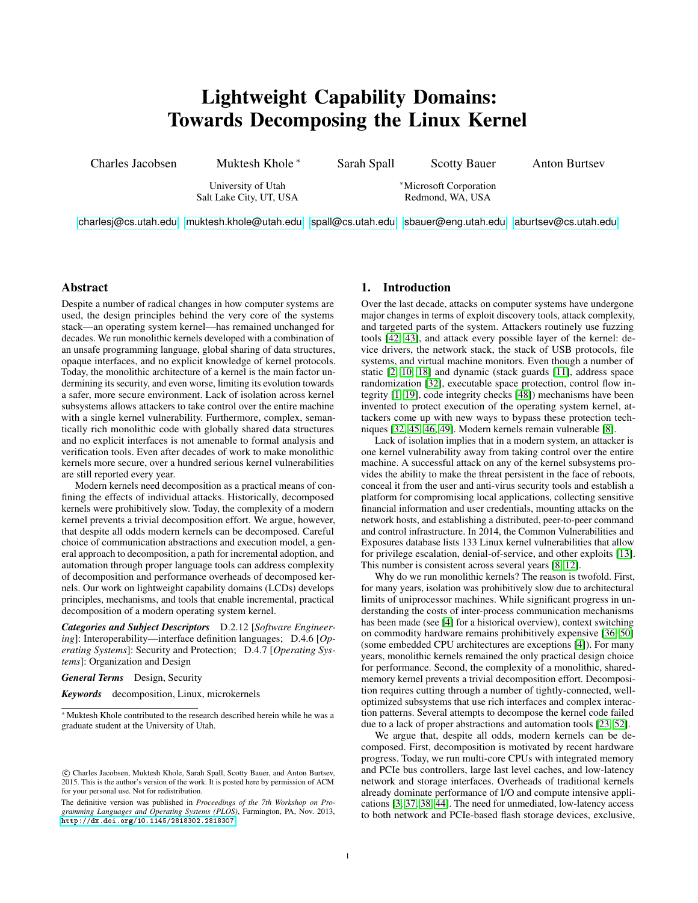# Lightweight Capability Domains: Towards Decomposing the Linux Kernel

Charles Jacobsen Muktesh Khole <sup>∗</sup> Sarah Spall Scotty Bauer Anton Burtsev

University of Utah ∗Microsoft Corporation<br>
t Lake City, UT, USA Redmond, WA, USA Salt Lake City, UT, USA

[charlesj@cs.utah.edu](mailto:charlesj@cs.utah.edu) [muktesh.khole@utah.edu](mailto:muktesh.khole@utah.edu) [spall@cs.utah.edu](mailto:spall@cs.utah.edu) [sbauer@eng.utah.edu](mailto:sbauer@eng.utah.edu) [aburtsev@cs.utah.edu](mailto:aburtsev@cs.utah.edu)

#### Abstract

Despite a number of radical changes in how computer systems are used, the design principles behind the very core of the systems stack—an operating system kernel—has remained unchanged for decades. We run monolithic kernels developed with a combination of an unsafe programming language, global sharing of data structures, opaque interfaces, and no explicit knowledge of kernel protocols. Today, the monolithic architecture of a kernel is the main factor undermining its security, and even worse, limiting its evolution towards a safer, more secure environment. Lack of isolation across kernel subsystems allows attackers to take control over the entire machine with a single kernel vulnerability. Furthermore, complex, semantically rich monolithic code with globally shared data structures and no explicit interfaces is not amenable to formal analysis and verification tools. Even after decades of work to make monolithic kernels more secure, over a hundred serious kernel vulnerabilities are still reported every year.

Modern kernels need decomposition as a practical means of confining the effects of individual attacks. Historically, decomposed kernels were prohibitively slow. Today, the complexity of a modern kernel prevents a trivial decomposition effort. We argue, however, that despite all odds modern kernels can be decomposed. Careful choice of communication abstractions and execution model, a general approach to decomposition, a path for incremental adoption, and automation through proper language tools can address complexity of decomposition and performance overheads of decomposed kernels. Our work on lightweight capability domains (LCDs) develops principles, mechanisms, and tools that enable incremental, practical decomposition of a modern operating system kernel.

*Categories and Subject Descriptors* D.2.12 [*Software Engineering*]: Interoperability—interface definition languages; D.4.6 [*Operating Systems*]: Security and Protection; D.4.7 [*Operating Systems*]: Organization and Design

#### *General Terms* Design, Security

*Keywords* decomposition, Linux, microkernels

### 1. Introduction

Over the last decade, attacks on computer systems have undergone major changes in terms of exploit discovery tools, attack complexity, and targeted parts of the system. Attackers routinely use fuzzing tools [\[42,](#page-5-0) [43\]](#page-5-1), and attack every possible layer of the kernel: device drivers, the network stack, the stack of USB protocols, file systems, and virtual machine monitors. Even though a number of static [\[2,](#page-5-2) [10,](#page-5-3) [18\]](#page-5-4) and dynamic (stack guards [\[11\]](#page-5-5), address space randomization [\[32\]](#page-5-6), executable space protection, control flow integrity [\[1,](#page-5-7) [19\]](#page-5-8), code integrity checks [\[48\]](#page-6-0)) mechanisms have been invented to protect execution of the operating system kernel, attackers come up with new ways to bypass these protection techniques [\[32,](#page-5-6) [45,](#page-6-1) [46,](#page-6-2) [49\]](#page-6-3). Modern kernels remain vulnerable [\[8\]](#page-5-9).

Lack of isolation implies that in a modern system, an attacker is one kernel vulnerability away from taking control over the entire machine. A successful attack on any of the kernel subsystems provides the ability to make the threat persistent in the face of reboots, conceal it from the user and anti-virus security tools and establish a platform for compromising local applications, collecting sensitive financial information and user credentials, mounting attacks on the network hosts, and establishing a distributed, peer-to-peer command and control infrastructure. In 2014, the Common Vulnerabilities and Exposures database lists 133 Linux kernel vulnerabilities that allow for privilege escalation, denial-of-service, and other exploits [\[13\]](#page-5-10). This number is consistent across several years [\[8,](#page-5-9) [12\]](#page-5-11).

Why do we run monolithic kernels? The reason is twofold. First, for many years, isolation was prohibitively slow due to architectural limits of uniprocessor machines. While significant progress in understanding the costs of inter-process communication mechanisms has been made (see [\[4\]](#page-5-12) for a historical overview), context switching on commodity hardware remains prohibitively expensive [\[36,](#page-5-13) [50\]](#page-6-4) (some embedded CPU architectures are exceptions [\[4\]](#page-5-12)). For many years, monolithic kernels remained the only practical design choice for performance. Second, the complexity of a monolithic, sharedmemory kernel prevents a trivial decomposition effort. Decomposition requires cutting through a number of tightly-connected, welloptimized subsystems that use rich interfaces and complex interaction patterns. Several attempts to decompose the kernel code failed due to a lack of proper abstractions and automation tools [\[23,](#page-5-14) [52\]](#page-6-5).

We argue that, despite all odds, modern kernels can be decomposed. First, decomposition is motivated by recent hardware progress. Today, we run multi-core CPUs with integrated memory and PCIe bus controllers, large last level caches, and low-latency network and storage interfaces. Overheads of traditional kernels already dominate performance of I/O and compute intensive applications [\[3,](#page-5-15) [37,](#page-5-16) [38,](#page-5-17) [44\]](#page-5-18). The need for unmediated, low-latency access to both network and PCIe-based flash storage devices, exclusive,

<sup>∗</sup> Muktesh Khole contributed to the research described herein while he was a graduate student at the University of Utah.

c Charles Jacobsen, Muktesh Khole, Sarah Spall, Scotty Bauer, and Anton Burtsev, 2015. This is the author's version of the work. It is posted here by permission of ACM for your personal use. Not for redistribution.

The definitive version was published in *Proceedings of the 7th Workshop on Programming Languages and Operating Systems (PLOS)*, Farmington, PA, Nov. 2013, <http://dx.doi.org/10.1145/2818302.2818307>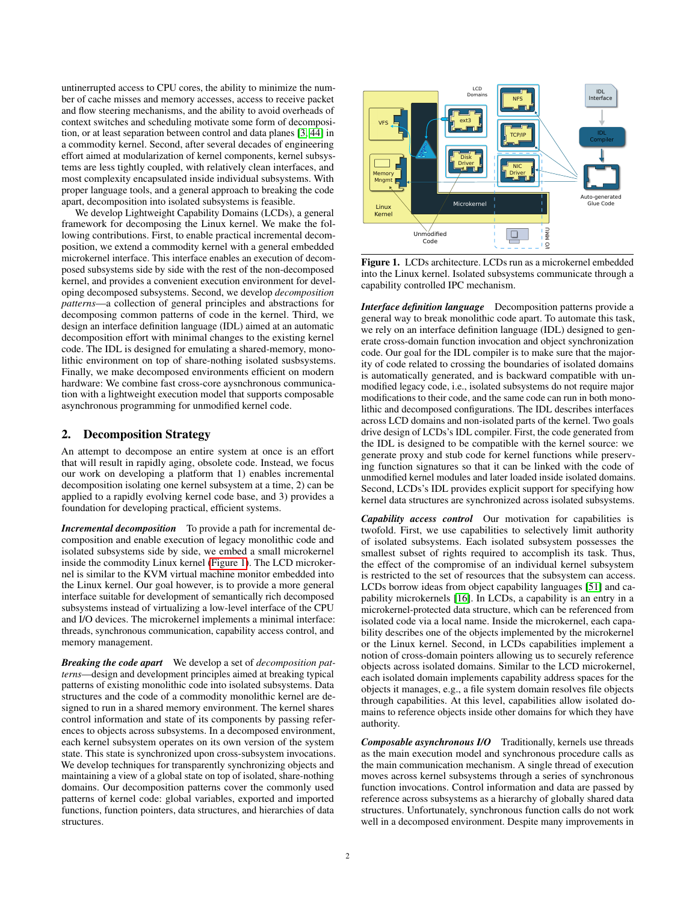untinerrupted access to CPU cores, the ability to minimize the number of cache misses and memory accesses, access to receive packet and flow steering mechanisms, and the ability to avoid overheads of context switches and scheduling motivate some form of decomposition, or at least separation between control and data planes [\[3,](#page-5-15) [44\]](#page-5-18) in a commodity kernel. Second, after several decades of engineering effort aimed at modularization of kernel components, kernel subsystems are less tightly coupled, with relatively clean interfaces, and most complexity encapsulated inside individual subsystems. With proper language tools, and a general approach to breaking the code apart, decomposition into isolated subsystems is feasible.

We develop Lightweight Capability Domains (LCDs), a general framework for decomposing the Linux kernel. We make the following contributions. First, to enable practical incremental decomposition, we extend a commodity kernel with a general embedded microkernel interface. This interface enables an execution of decomposed subsystems side by side with the rest of the non-decomposed kernel, and provides a convenient execution environment for developing decomposed subsystems. Second, we develop *decomposition patterns*—a collection of general principles and abstractions for decomposing common patterns of code in the kernel. Third, we design an interface definition language (IDL) aimed at an automatic decomposition effort with minimal changes to the existing kernel code. The IDL is designed for emulating a shared-memory, monolithic environment on top of share-nothing isolated susbsystems. Finally, we make decomposed environments efficient on modern hardware: We combine fast cross-core aysnchronous communication with a lightweight execution model that supports composable asynchronous programming for unmodified kernel code.

# 2. Decomposition Strategy

An attempt to decompose an entire system at once is an effort that will result in rapidly aging, obsolete code. Instead, we focus our work on developing a platform that 1) enables incremental decomposition isolating one kernel subsystem at a time, 2) can be applied to a rapidly evolving kernel code base, and 3) provides a foundation for developing practical, efficient systems.

*Incremental decomposition* To provide a path for incremental decomposition and enable execution of legacy monolithic code and isolated subsystems side by side, we embed a small microkernel inside the commodity Linux kernel [\(Figure](#page-1-0) 1). The LCD microkernel is similar to the KVM virtual machine monitor embedded into the Linux kernel. Our goal however, is to provide a more general interface suitable for development of semantically rich decomposed subsystems instead of virtualizing a low-level interface of the CPU and I/O devices. The microkernel implements a minimal interface: threads, synchronous communication, capability access control, and memory management.

*Breaking the code apart* We develop a set of *decomposition patterns*—design and development principles aimed at breaking typical patterns of existing monolithic code into isolated subsystems. Data structures and the code of a commodity monolithic kernel are designed to run in a shared memory environment. The kernel shares control information and state of its components by passing references to objects across subsystems. In a decomposed environment, each kernel subsystem operates on its own version of the system state. This state is synchronized upon cross-subsystem invocations. We develop techniques for transparently synchronizing objects and maintaining a view of a global state on top of isolated, share-nothing domains. Our decomposition patterns cover the commonly used patterns of kernel code: global variables, exported and imported functions, function pointers, data structures, and hierarchies of data structures.



<span id="page-1-0"></span>Figure 1. LCDs architecture. LCDs run as a microkernel embedded into the Linux kernel. Isolated subsystems communicate through a capability controlled IPC mechanism.

*Interface definition language* Decomposition patterns provide a general way to break monolithic code apart. To automate this task, we rely on an interface definition language (IDL) designed to generate cross-domain function invocation and object synchronization code. Our goal for the IDL compiler is to make sure that the majority of code related to crossing the boundaries of isolated domains is automatically generated, and is backward compatible with unmodified legacy code, i.e., isolated subsystems do not require major modifications to their code, and the same code can run in both monolithic and decomposed configurations. The IDL describes interfaces across LCD domains and non-isolated parts of the kernel. Two goals drive design of LCDs's IDL compiler. First, the code generated from the IDL is designed to be compatible with the kernel source: we generate proxy and stub code for kernel functions while preserving function signatures so that it can be linked with the code of unmodified kernel modules and later loaded inside isolated domains. Second, LCDs's IDL provides explicit support for specifying how kernel data structures are synchronized across isolated subsystems.

*Capability access control* Our motivation for capabilities is twofold. First, we use capabilities to selectively limit authority of isolated subsystems. Each isolated subsystem possesses the smallest subset of rights required to accomplish its task. Thus, the effect of the compromise of an individual kernel subsystem is restricted to the set of resources that the subsystem can access. LCDs borrow ideas from object capability languages [\[51\]](#page-6-6) and capability microkernels [\[16\]](#page-5-19). In LCDs, a capability is an entry in a microkernel-protected data structure, which can be referenced from isolated code via a local name. Inside the microkernel, each capability describes one of the objects implemented by the microkernel or the Linux kernel. Second, in LCDs capabilities implement a notion of cross-domain pointers allowing us to securely reference objects across isolated domains. Similar to the LCD microkernel, each isolated domain implements capability address spaces for the objects it manages, e.g., a file system domain resolves file objects through capabilities. At this level, capabilities allow isolated domains to reference objects inside other domains for which they have authority.

*Composable asynchronous I/O* Traditionally, kernels use threads as the main execution model and synchronous procedure calls as the main communication mechanism. A single thread of execution moves across kernel subsystems through a series of synchronous function invocations. Control information and data are passed by reference across subsystems as a hierarchy of globally shared data structures. Unfortunately, synchronous function calls do not work well in a decomposed environment. Despite many improvements in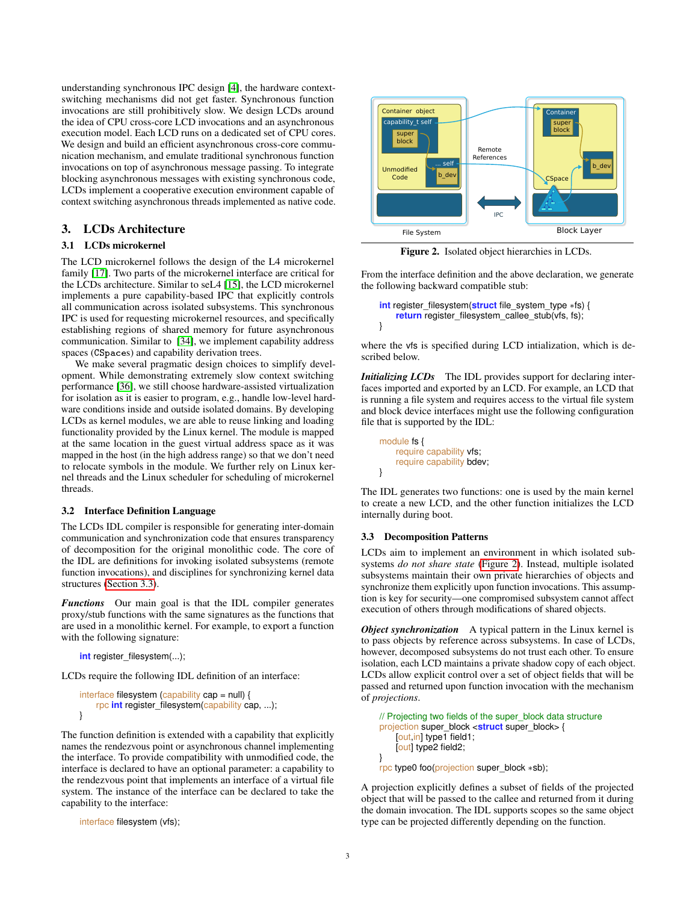understanding synchronous IPC design [\[4\]](#page-5-12), the hardware contextswitching mechanisms did not get faster. Synchronous function invocations are still prohibitively slow. We design LCDs around the idea of CPU cross-core LCD invocations and an asynchronous execution model. Each LCD runs on a dedicated set of CPU cores. We design and build an efficient asynchronous cross-core communication mechanism, and emulate traditional synchronous function invocations on top of asynchronous message passing. To integrate blocking asynchronous messages with existing synchronous code, LCDs implement a cooperative execution environment capable of context switching asynchronous threads implemented as native code.

# 3. LCDs Architecture

# 3.1 LCDs microkernel

The LCD microkernel follows the design of the L4 microkernel family [\[17\]](#page-5-20). Two parts of the microkernel interface are critical for the LCDs architecture. Similar to seL4 [\[15\]](#page-5-21), the LCD microkernel implements a pure capability-based IPC that explicitly controls all communication across isolated subsystems. This synchronous IPC is used for requesting microkernel resources, and specifically establishing regions of shared memory for future asynchronous communication. Similar to [\[34\]](#page-5-22), we implement capability address spaces (CSpaces) and capability derivation trees.

We make several pragmatic design choices to simplify development. While demonstrating extremely slow context switching performance [\[36\]](#page-5-13), we still choose hardware-assisted virtualization for isolation as it is easier to program, e.g., handle low-level hardware conditions inside and outside isolated domains. By developing LCDs as kernel modules, we are able to reuse linking and loading functionality provided by the Linux kernel. The module is mapped at the same location in the guest virtual address space as it was mapped in the host (in the high address range) so that we don't need to relocate symbols in the module. We further rely on Linux kernel threads and the Linux scheduler for scheduling of microkernel threads.

#### 3.2 Interface Definition Language

The LCDs IDL compiler is responsible for generating inter-domain communication and synchronization code that ensures transparency of decomposition for the original monolithic code. The core of the IDL are definitions for invoking isolated subsystems (remote function invocations), and disciplines for synchronizing kernel data structures [\(Section 3.3\)](#page-2-0).

*Functions* Our main goal is that the IDL compiler generates proxy/stub functions with the same signatures as the functions that are used in a monolithic kernel. For example, to export a function with the following signature:

```
int register filesystem(...);
```
LCDs require the following IDL definition of an interface:

```
interface filesystem (capability cap = null) {
    rpc int register_filesystem(capability cap, ...);
}
```
The function definition is extended with a capability that explicitly names the rendezvous point or asynchronous channel implementing the interface. To provide compatibility with unmodified code, the interface is declared to have an optional parameter: a capability to the rendezvous point that implements an interface of a virtual file system. The instance of the interface can be declared to take the capability to the interface:

interface filesystem (vfs);



<span id="page-2-1"></span>Figure 2. Isolated object hierarchies in LCDs.

From the interface definition and the above declaration, we generate the following backward compatible stub:

```
int register_filesystem(struct file_system_type ∗fs) {
    return register_filesystem_callee_stub(vfs, fs);
}
```
where the vfs is specified during LCD intialization, which is described below.

*Initializing LCDs* The IDL provides support for declaring interfaces imported and exported by an LCD. For example, an LCD that is running a file system and requires access to the virtual file system and block device interfaces might use the following configuration file that is supported by the IDL:

```
module fs {
    require capability vfs;
    require capability bdev;
}
```
The IDL generates two functions: one is used by the main kernel to create a new LCD, and the other function initializes the LCD internally during boot.

#### <span id="page-2-0"></span>3.3 Decomposition Patterns

LCDs aim to implement an environment in which isolated subsystems *do not share state* [\(Figure](#page-2-1) 2). Instead, multiple isolated subsystems maintain their own private hierarchies of objects and synchronize them explicitly upon function invocations. This assumption is key for security—one compromised subsystem cannot affect execution of others through modifications of shared objects.

*Object synchronization* A typical pattern in the Linux kernel is to pass objects by reference across subsystems. In case of LCDs, however, decomposed subsystems do not trust each other. To ensure isolation, each LCD maintains a private shadow copy of each object. LCDs allow explicit control over a set of object fields that will be passed and returned upon function invocation with the mechanism of *projections*.

```
// Projecting two fields of the super_block data structure
projection super_block <struct super_block> {
    [out, in] type1 field1;
    [out] type2 field2;
}
rpc type0 foo(projection super_block ∗sb);
```
A projection explicitly defines a subset of fields of the projected object that will be passed to the callee and returned from it during the domain invocation. The IDL supports scopes so the same object type can be projected differently depending on the function.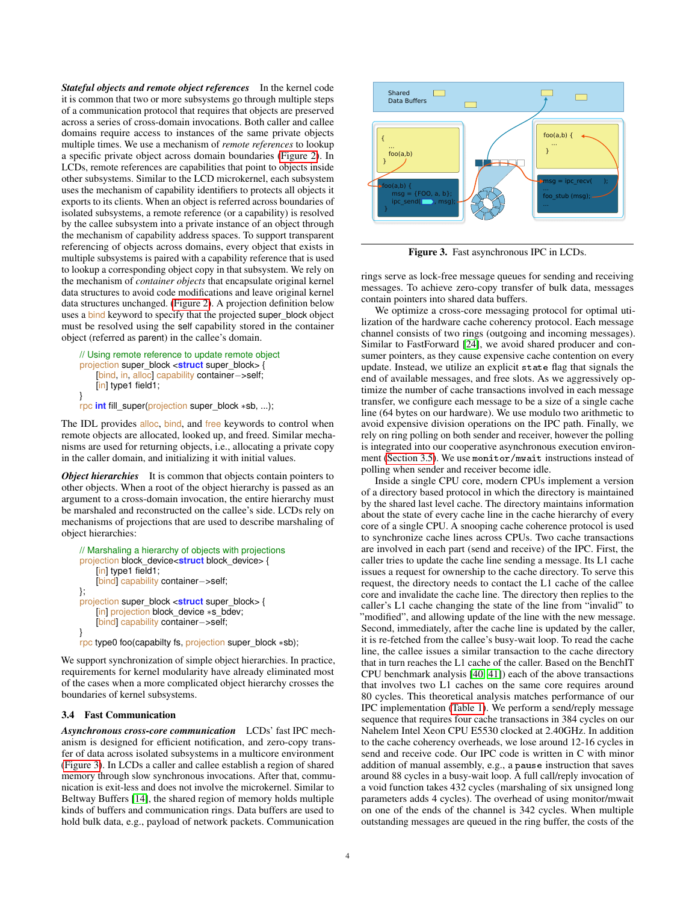*Stateful objects and remote object references* In the kernel code it is common that two or more subsystems go through multiple steps of a communication protocol that requires that objects are preserved across a series of cross-domain invocations. Both caller and callee domains require access to instances of the same private objects multiple times. We use a mechanism of *remote references* to lookup a specific private object across domain boundaries [\(Figure](#page-2-1) 2). In LCDs, remote references are capabilities that point to objects inside other subsystems. Similar to the LCD microkernel, each subsystem uses the mechanism of capability identifiers to protects all objects it exports to its clients. When an object is referred across boundaries of isolated subsystems, a remote reference (or a capability) is resolved by the callee subsystem into a private instance of an object through the mechanism of capability address spaces. To support transparent referencing of objects across domains, every object that exists in multiple subsystems is paired with a capability reference that is used to lookup a corresponding object copy in that subsystem. We rely on the mechanism of *container objects* that encapsulate original kernel data structures to avoid code modifications and leave original kernel data structures unchanged. [\(Figure](#page-2-1) 2). A projection definition below uses a bind keyword to specify that the projected super\_block object must be resolved using the self capability stored in the container object (referred as parent) in the callee's domain.

```
// Using remote reference to update remote object
projection super_block <struct super_block> {
    [bind, in, alloc] capability container->self;
    [in] type1 field1;
}
rpc int fill_super(projection super_block ∗sb, ...);
```
The IDL provides alloc, bind, and free keywords to control when remote objects are allocated, looked up, and freed. Similar mechanisms are used for returning objects, i.e., allocating a private copy in the caller domain, and initializing it with initial values.

*Object hierarchies* It is common that objects contain pointers to other objects. When a root of the object hierarchy is passed as an argument to a cross-domain invocation, the entire hierarchy must be marshaled and reconstructed on the callee's side. LCDs rely on mechanisms of projections that are used to describe marshaling of object hierarchies:

```
// Marshaling a hierarchy of objects with projections
projection block_device<struct block_device> {
    [in] type1 field1;
    [bind] capability container−>self;
};
projection super_block <struct super_block> {
    [in] projection block device ∗s_bdev;
    [bind] capability container–>self;
}
rpc type0 foo(capabilty fs, projection super_block ∗sb);
```
We support synchronization of simple object hierarchies. In practice, requirements for kernel modularity have already eliminated most of the cases when a more complicated object hierarchy crosses the boundaries of kernel subsystems.

#### 3.4 Fast Communication

*Asynchronous cross-core communication* LCDs' fast IPC mechanism is designed for efficient notification, and zero-copy transfer of data across isolated subsystems in a multicore environment [\(Figure](#page-3-0) 3). In LCDs a caller and callee establish a region of shared memory through slow synchronous invocations. After that, communication is exit-less and does not involve the microkernel. Similar to Beltway Buffers [\[14\]](#page-5-23), the shared region of memory holds multiple kinds of buffers and communication rings. Data buffers are used to hold bulk data, e.g., payload of network packets. Communication



<span id="page-3-0"></span>Figure 3. Fast asynchronous IPC in LCDs.

rings serve as lock-free message queues for sending and receiving messages. To achieve zero-copy transfer of bulk data, messages contain pointers into shared data buffers.

We optimize a cross-core messaging protocol for optimal utilization of the hardware cache coherency protocol. Each message channel consists of two rings (outgoing and incoming messages). Similar to FastForward [\[24\]](#page-5-24), we avoid shared producer and consumer pointers, as they cause expensive cache contention on every update. Instead, we utilize an explicit state flag that signals the end of available messages, and free slots. As we aggressively optimize the number of cache transactions involved in each message transfer, we configure each message to be a size of a single cache line (64 bytes on our hardware). We use modulo two arithmetic to avoid expensive division operations on the IPC path. Finally, we rely on ring polling on both sender and receiver, however the polling is integrated into our cooperative asynchronous execution environment [\(Section](#page-4-0) 3.5). We use monitor/mwait instructions instead of polling when sender and receiver become idle.

Inside a single CPU core, modern CPUs implement a version of a directory based protocol in which the directory is maintained by the shared last level cache. The directory maintains information about the state of every cache line in the cache hierarchy of every core of a single CPU. A snooping cache coherence protocol is used to synchronize cache lines across CPUs. Two cache transactions are involved in each part (send and receive) of the IPC. First, the caller tries to update the cache line sending a message. Its L1 cache issues a request for ownership to the cache directory. To serve this request, the directory needs to contact the L1 cache of the callee core and invalidate the cache line. The directory then replies to the caller's L1 cache changing the state of the line from "invalid" to "modified", and allowing update of the line with the new message. Second, immediately, after the cache line is updated by the caller, it is re-fetched from the callee's busy-wait loop. To read the cache line, the callee issues a similar transaction to the cache directory that in turn reaches the L1 cache of the caller. Based on the BenchIT CPU benchmark analysis [\[40,](#page-5-25) [41\]](#page-5-26)) each of the above transactions that involves two L1 caches on the same core requires around 80 cycles. This theoretical analysis matches performance of our IPC implementation [\(Table](#page-4-1) 1). We perform a send/reply message sequence that requires four cache transactions in 384 cycles on our Nahelem Intel Xeon CPU E5530 clocked at 2.40GHz. In addition to the cache coherency overheads, we lose around 12-16 cycles in send and receive code. Our IPC code is written in C with minor addition of manual assembly, e.g., a pause instruction that saves around 88 cycles in a busy-wait loop. A full call/reply invocation of a void function takes 432 cycles (marshaling of six unsigned long parameters adds 4 cycles). The overhead of using monitor/mwait on one of the ends of the channel is 342 cycles. When multiple outstanding messages are queued in the ring buffer, the costs of the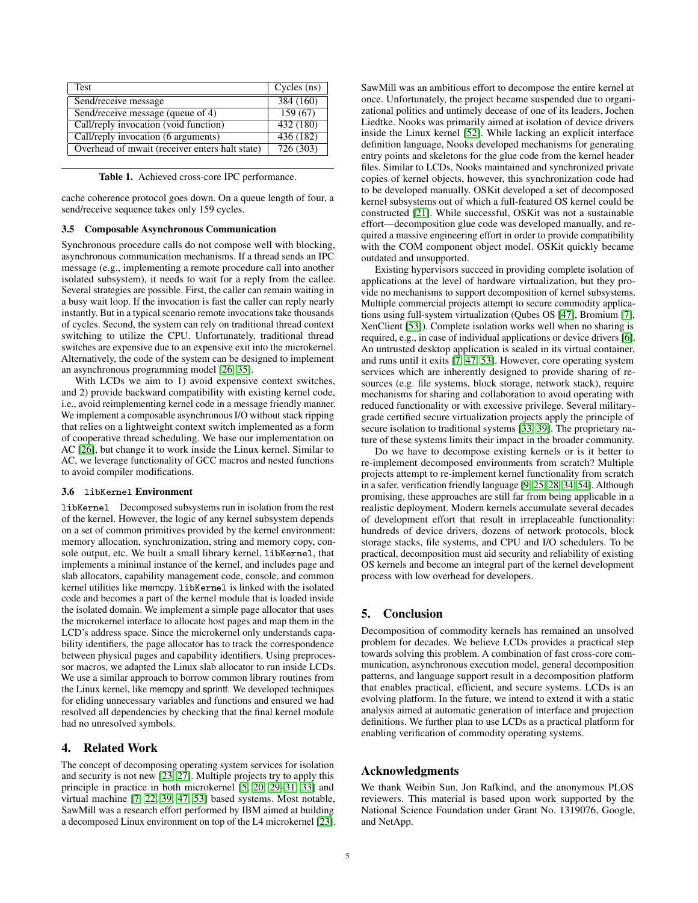| Test                                           | Cycles (ns) |
|------------------------------------------------|-------------|
| Send/receive message                           | 384 (160)   |
| Send/receive message (queue of 4)              | 159(67)     |
| Call/reply invocation (void function)          | 432 (180)   |
| Call/reply invocation (6 arguments)            | 436 (182)   |
| Overhead of mwait (receiver enters halt state) | 726(303)    |

<span id="page-4-1"></span>

| Table 1. Achieved cross-core IPC performance. |  |
|-----------------------------------------------|--|
|-----------------------------------------------|--|

cache coherence protocol goes down. On a queue length of four, a send/receive sequence takes only 159 cycles.

#### <span id="page-4-0"></span>3.5 Composable Asynchronous Communication

Synchronous procedure calls do not compose well with blocking, asynchronous communication mechanisms. If a thread sends an IPC message (e.g., implementing a remote procedure call into another isolated subsystem), it needs to wait for a reply from the callee. Several strategies are possible. First, the caller can remain waiting in a busy wait loop. If the invocation is fast the caller can reply nearly instantly. But in a typical scenario remote invocations take thousands of cycles. Second, the system can rely on traditional thread context switching to utilize the CPU. Unfortunately, traditional thread switches are expensive due to an expensive exit into the microkernel. Alternatively, the code of the system can be designed to implement an asynchronous programming model [\[26,](#page-5-27) [35\]](#page-5-28).

With LCDs we aim to 1) avoid expensive context switches, and 2) provide backward compatibility with existing kernel code, i.e., avoid reimplementing kernel code in a message friendly manner. We implement a composable asynchronous I/O without stack ripping that relies on a lightweight context switch implemented as a form of cooperative thread scheduling. We base our implementation on AC [\[26\]](#page-5-27), but change it to work inside the Linux kernel. Similar to AC, we leverage functionality of GCC macros and nested functions to avoid compiler modifications.

#### 3.6 libKernel Environment

libKernel Decomposed subsystems run in isolation from the rest of the kernel. However, the logic of any kernel subsystem depends on a set of common primitives provided by the kernel environment: memory allocation, synchronization, string and memory copy, console output, etc. We built a small library kernel, libKernel, that implements a minimal instance of the kernel, and includes page and slab allocators, capability management code, console, and common kernel utilities like memcpy. libKernel is linked with the isolated code and becomes a part of the kernel module that is loaded inside the isolated domain. We implement a simple page allocator that uses the microkernel interface to allocate host pages and map them in the LCD's address space. Since the microkernel only understands capability identifiers, the page allocator has to track the correspondence between physical pages and capability identifiers. Using preprocessor macros, we adapted the Linux slab allocator to run inside LCDs. We use a similar approach to borrow common library routines from the Linux kernel, like memcpy and sprintf. We developed techniques for eliding unnecessary variables and functions and ensured we had resolved all dependencies by checking that the final kernel module had no unresolved symbols.

#### 4. Related Work

The concept of decomposing operating system services for isolation and security is not new [\[23,](#page-5-14) [27\]](#page-5-29). Multiple projects try to apply this principle in practice in both microkernel [\[5,](#page-5-30) [20,](#page-5-31) [29–](#page-5-32)[31,](#page-5-33) [33\]](#page-5-34) and virtual machine [\[7,](#page-5-35) [22,](#page-5-36) [39,](#page-5-37) [47,](#page-6-7) [53\]](#page-6-8) based systems. Most notable, SawMill was a research effort performed by IBM aimed at building a decomposed Linux environment on top of the L4 microkernel [\[23\]](#page-5-14). SawMill was an ambitious effort to decompose the entire kernel at once. Unfortunately, the project became suspended due to organizational politics and untimely decease of one of its leaders, Jochen Liedtke. Nooks was primarily aimed at isolation of device drivers inside the Linux kernel [\[52\]](#page-6-5). While lacking an explicit interface definition language, Nooks developed mechanisms for generating entry points and skeletons for the glue code from the kernel header files. Similar to LCDs, Nooks maintained and synchronized private copies of kernel objects, however, this synchronization code had to be developed manually. OSKit developed a set of decomposed kernel subsystems out of which a full-featured OS kernel could be constructed [\[21\]](#page-5-38). While successful, OSKit was not a sustainable effort—decomposition glue code was developed manually, and required a massive engineering effort in order to provide compatibility with the COM component object model. OSKit quickly became outdated and unsupported.

Existing hypervisors succeed in providing complete isolation of applications at the level of hardware virtualization, but they provide no mechanisms to support decomposition of kernel subsystems. Multiple commercial projects attempt to secure commodity applications using full-system virtualization (Qubes OS [\[47\]](#page-6-7), Bromium [\[7\]](#page-5-35), XenClient [\[53\]](#page-6-8)). Complete isolation works well when no sharing is required, e.g., in case of individual applications or device drivers [\[6\]](#page-5-39). An untrusted desktop application is sealed in its virtual container, and runs until it exits [\[7,](#page-5-35) [47,](#page-6-7) [53\]](#page-6-8). However, core operating system services which are inherently designed to provide sharing of resources (e.g. file systems, block storage, network stack), require mechanisms for sharing and collaboration to avoid operating with reduced functionality or with excessive privilege. Several militarygrade certified secure virtualization projects apply the principle of secure isolation to traditional systems [\[33,](#page-5-34) [39\]](#page-5-37). The proprietary nature of these systems limits their impact in the broader community.

Do we have to decompose existing kernels or is it better to re-implement decomposed environments from scratch? Multiple projects attempt to re-implement kernel functionality from scratch in a safer, verification friendly language [\[9,](#page-5-40) [25,](#page-5-41) [28,](#page-5-42) [34,](#page-5-22) [54\]](#page-6-9). Although promising, these approaches are still far from being applicable in a realistic deployment. Modern kernels accumulate several decades of development effort that result in irreplaceable functionality: hundreds of device drivers, dozens of network protocols, block storage stacks, file systems, and CPU and I/O schedulers. To be practical, decomposition must aid security and reliability of existing OS kernels and become an integral part of the kernel development process with low overhead for developers.

# 5. Conclusion

Decomposition of commodity kernels has remained an unsolved problem for decades. We believe LCDs provides a practical step towards solving this problem. A combination of fast cross-core communication, asynchronous execution model, general decomposition patterns, and language support result in a decomposition platform that enables practical, efficient, and secure systems. LCDs is an evolving platform. In the future, we intend to extend it with a static analysis aimed at automatic generation of interface and projection definitions. We further plan to use LCDs as a practical platform for enabling verification of commodity operating systems.

#### Acknowledgments

We thank Weibin Sun, Jon Rafkind, and the anonymous PLOS reviewers. This material is based upon work supported by the National Science Foundation under Grant No. 1319076, Google, and NetApp.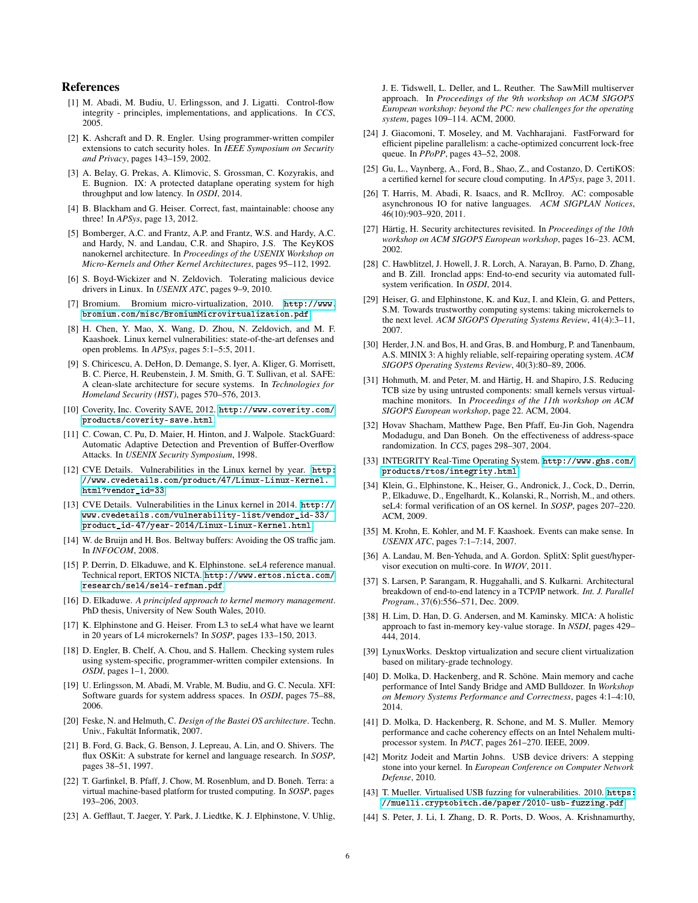## References

- <span id="page-5-7"></span>[1] M. Abadi, M. Budiu, U. Erlingsson, and J. Ligatti. Control-flow integrity - principles, implementations, and applications. In *CCS*, 2005.
- <span id="page-5-2"></span>[2] K. Ashcraft and D. R. Engler. Using programmer-written compiler extensions to catch security holes. In *IEEE Symposium on Security and Privacy*, pages 143–159, 2002.
- <span id="page-5-15"></span>[3] A. Belay, G. Prekas, A. Klimovic, S. Grossman, C. Kozyrakis, and E. Bugnion. IX: A protected dataplane operating system for high throughput and low latency. In *OSDI*, 2014.
- <span id="page-5-12"></span>[4] B. Blackham and G. Heiser. Correct, fast, maintainable: choose any three! In *APSys*, page 13, 2012.
- <span id="page-5-30"></span>[5] Bomberger, A.C. and Frantz, A.P. and Frantz, W.S. and Hardy, A.C. and Hardy, N. and Landau, C.R. and Shapiro, J.S. The KeyKOS nanokernel architecture. In *Proceedings of the USENIX Workshop on Micro-Kernels and Other Kernel Architectures*, pages 95–112, 1992.
- <span id="page-5-39"></span>[6] S. Boyd-Wickizer and N. Zeldovich. Tolerating malicious device drivers in Linux. In *USENIX ATC*, pages 9–9, 2010.
- <span id="page-5-35"></span>[7] Bromium. Bromium micro-virtualization, 2010. [http://www.](http://www.bromium.com/misc/BromiumMicrovirtualization.pdf) [bromium.com/misc/BromiumMicrovirtualization.pdf](http://www.bromium.com/misc/BromiumMicrovirtualization.pdf).
- <span id="page-5-9"></span>[8] H. Chen, Y. Mao, X. Wang, D. Zhou, N. Zeldovich, and M. F. Kaashoek. Linux kernel vulnerabilities: state-of-the-art defenses and open problems. In *APSys*, pages 5:1–5:5, 2011.
- <span id="page-5-40"></span>[9] S. Chiricescu, A. DeHon, D. Demange, S. Iyer, A. Kliger, G. Morrisett, B. C. Pierce, H. Reubenstein, J. M. Smith, G. T. Sullivan, et al. SAFE: A clean-slate architecture for secure systems. In *Technologies for Homeland Security (HST)*, pages 570–576, 2013.
- <span id="page-5-3"></span>[10] Coverity, Inc. Coverity SAVE, 2012. [http://www.coverity.com/](http://www.coverity.com/products/coverity-save.html) [products/coverity-save.html](http://www.coverity.com/products/coverity-save.html).
- <span id="page-5-5"></span>[11] C. Cowan, C. Pu, D. Maier, H. Hinton, and J. Walpole. StackGuard: Automatic Adaptive Detection and Prevention of Buffer-Overflow Attacks. In *USENIX Security Symposium*, 1998.
- <span id="page-5-11"></span>[12] CVE Details. Vulnerabilities in the Linux kernel by year. [http:](http://www.cvedetails.com/product/47/Linux-Linux-Kernel.html?vendor_id=33) [//www.cvedetails.com/product/47/Linux-Linux-Kernel.](http://www.cvedetails.com/product/47/Linux-Linux-Kernel.html?vendor_id=33) [html?vendor\\_id=33](http://www.cvedetails.com/product/47/Linux-Linux-Kernel.html?vendor_id=33).
- <span id="page-5-10"></span>[13] CVE Details. Vulnerabilities in the Linux kernel in 2014. [http://](http://www.cvedetails.com/vulnerability-list/vendor_id-33/product_id-47/year-2014/Linux-Linux-Kernel.html) [www.cvedetails.com/vulnerability-list/vendor\\_id-33/](http://www.cvedetails.com/vulnerability-list/vendor_id-33/product_id-47/year-2014/Linux-Linux-Kernel.html) [product\\_id-47/year-2014/Linux-Linux-Kernel.html](http://www.cvedetails.com/vulnerability-list/vendor_id-33/product_id-47/year-2014/Linux-Linux-Kernel.html).
- <span id="page-5-23"></span>[14] W. de Bruijn and H. Bos. Beltway buffers: Avoiding the OS traffic jam. In *INFOCOM*, 2008.
- <span id="page-5-21"></span>[15] P. Derrin, D. Elkaduwe, and K. Elphinstone. seL4 reference manual. Technical report, ERTOS NICTA. [http://www.ertos.nicta.com/](http://www.ertos.nicta.com/research/sel4/sel4-refman.pdf) [research/sel4/sel4-refman.pdf](http://www.ertos.nicta.com/research/sel4/sel4-refman.pdf).
- <span id="page-5-19"></span>[16] D. Elkaduwe. *A principled approach to kernel memory management*. PhD thesis, University of New South Wales, 2010.
- <span id="page-5-20"></span>[17] K. Elphinstone and G. Heiser. From L3 to seL4 what have we learnt in 20 years of L4 microkernels? In *SOSP*, pages 133–150, 2013.
- <span id="page-5-4"></span>[18] D. Engler, B. Chelf, A. Chou, and S. Hallem. Checking system rules using system-specific, programmer-written compiler extensions. In *OSDI*, pages 1–1, 2000.
- <span id="page-5-8"></span>[19] U. Erlingsson, M. Abadi, M. Vrable, M. Budiu, and G. C. Necula. XFI: Software guards for system address spaces. In *OSDI*, pages 75–88, 2006.
- <span id="page-5-31"></span>[20] Feske, N. and Helmuth, C. *Design of the Bastei OS architecture*. Techn. Univ., Fakultät Informatik, 2007.
- <span id="page-5-38"></span>[21] B. Ford, G. Back, G. Benson, J. Lepreau, A. Lin, and O. Shivers. The flux OSKit: A substrate for kernel and language research. In *SOSP*, pages 38–51, 1997.
- <span id="page-5-36"></span>[22] T. Garfinkel, B. Pfaff, J. Chow, M. Rosenblum, and D. Boneh. Terra: a virtual machine-based platform for trusted computing. In *SOSP*, pages 193–206, 2003.
- <span id="page-5-14"></span>[23] A. Gefflaut, T. Jaeger, Y. Park, J. Liedtke, K. J. Elphinstone, V. Uhlig,

J. E. Tidswell, L. Deller, and L. Reuther. The SawMill multiserver approach. In *Proceedings of the 9th workshop on ACM SIGOPS European workshop: beyond the PC: new challenges for the operating system*, pages 109–114. ACM, 2000.

- <span id="page-5-24"></span>[24] J. Giacomoni, T. Moseley, and M. Vachharajani. FastForward for efficient pipeline parallelism: a cache-optimized concurrent lock-free queue. In *PPoPP*, pages 43–52, 2008.
- <span id="page-5-41"></span>[25] Gu, L., Vaynberg, A., Ford, B., Shao, Z., and Costanzo, D. CertiKOS: a certified kernel for secure cloud computing. In *APSys*, page 3, 2011.
- <span id="page-5-27"></span>[26] T. Harris, M. Abadi, R. Isaacs, and R. McIlroy. AC: composable asynchronous IO for native languages. *ACM SIGPLAN Notices*, 46(10):903–920, 2011.
- <span id="page-5-29"></span>[27] Härtig, H. Security architectures revisited. In *Proceedings of the 10th workshop on ACM SIGOPS European workshop*, pages 16–23. ACM, 2002.
- <span id="page-5-42"></span>[28] C. Hawblitzel, J. Howell, J. R. Lorch, A. Narayan, B. Parno, D. Zhang, and B. Zill. Ironclad apps: End-to-end security via automated fullsystem verification. In *OSDI*, 2014.
- <span id="page-5-32"></span>[29] Heiser, G. and Elphinstone, K. and Kuz, I. and Klein, G. and Petters, S.M. Towards trustworthy computing systems: taking microkernels to the next level. *ACM SIGOPS Operating Systems Review*, 41(4):3–11, 2007.
- [30] Herder, J.N. and Bos, H. and Gras, B. and Homburg, P. and Tanenbaum, A.S. MINIX 3: A highly reliable, self-repairing operating system. *ACM SIGOPS Operating Systems Review*, 40(3):80–89, 2006.
- <span id="page-5-33"></span>[31] Hohmuth, M. and Peter, M. and Härtig, H. and Shapiro, J.S. Reducing TCB size by using untrusted components: small kernels versus virtualmachine monitors. In *Proceedings of the 11th workshop on ACM SIGOPS European workshop*, page 22. ACM, 2004.
- <span id="page-5-6"></span>[32] Hovav Shacham, Matthew Page, Ben Pfaff, Eu-Jin Goh, Nagendra Modadugu, and Dan Boneh. On the effectiveness of address-space randomization. In *CCS*, pages 298–307, 2004.
- <span id="page-5-34"></span>[33] INTEGRITY Real-Time Operating System. [http://www.ghs.com/](http://www.ghs.com/products/rtos/integrity.html) [products/rtos/integrity.html](http://www.ghs.com/products/rtos/integrity.html).
- <span id="page-5-22"></span>[34] Klein, G., Elphinstone, K., Heiser, G., Andronick, J., Cock, D., Derrin, P., Elkaduwe, D., Engelhardt, K., Kolanski, R., Norrish, M., and others. seL4: formal verification of an OS kernel. In *SOSP*, pages 207–220. ACM, 2009.
- <span id="page-5-28"></span>[35] M. Krohn, E. Kohler, and M. F. Kaashoek. Events can make sense. In *USENIX ATC*, pages 7:1–7:14, 2007.
- <span id="page-5-13"></span>[36] A. Landau, M. Ben-Yehuda, and A. Gordon. SplitX: Split guest/hypervisor execution on multi-core. In *WIOV*, 2011.
- <span id="page-5-16"></span>[37] S. Larsen, P. Sarangam, R. Huggahalli, and S. Kulkarni. Architectural breakdown of end-to-end latency in a TCP/IP network. *Int. J. Parallel Program.*, 37(6):556–571, Dec. 2009.
- <span id="page-5-17"></span>[38] H. Lim, D. Han, D. G. Andersen, and M. Kaminsky. MICA: A holistic approach to fast in-memory key-value storage. In *NSDI*, pages 429– 444, 2014.
- <span id="page-5-37"></span>[39] LynuxWorks. Desktop virtualization and secure client virtualization based on military-grade technology.
- <span id="page-5-25"></span>[40] D. Molka, D. Hackenberg, and R. Schöne. Main memory and cache performance of Intel Sandy Bridge and AMD Bulldozer. In *Workshop on Memory Systems Performance and Correctness*, pages 4:1–4:10, 2014.
- <span id="page-5-26"></span>[41] D. Molka, D. Hackenberg, R. Schone, and M. S. Muller. Memory performance and cache coherency effects on an Intel Nehalem multiprocessor system. In *PACT*, pages 261–270. IEEE, 2009.
- <span id="page-5-0"></span>[42] Moritz Jodeit and Martin Johns. USB device drivers: A stepping stone into your kernel. In *European Conference on Computer Network Defense*, 2010.
- <span id="page-5-1"></span>[43] T. Mueller. Virtualised USB fuzzing for vulnerabilities. 2010. [https:](https://muelli.cryptobitch.de/paper/2010-usb-fuzzing.pdf) [//muelli.cryptobitch.de/paper/2010-usb-fuzzing.pdf](https://muelli.cryptobitch.de/paper/2010-usb-fuzzing.pdf).
- <span id="page-5-18"></span>[44] S. Peter, J. Li, I. Zhang, D. R. Ports, D. Woos, A. Krishnamurthy,